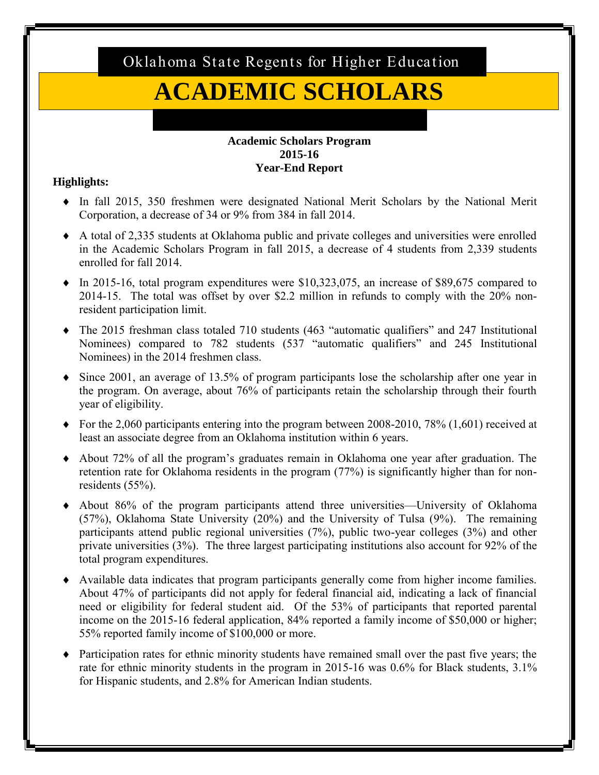Oklahoma State Regents for Higher Education

# **ACADEMIC SCHOLARS**

#### **Academic Scholars Program 2015-16 Year-End Report**

# **Highlights:**

- In fall 2015, 350 freshmen were designated National Merit Scholars by the National Merit Corporation, a decrease of 34 or 9% from 384 in fall 2014.
- A total of 2,335 students at Oklahoma public and private colleges and universities were enrolled in the Academic Scholars Program in fall 2015, a decrease of 4 students from 2,339 students enrolled for fall 2014.
- $\bullet$  In 2015-16, total program expenditures were \$10,323,075, an increase of \$89,675 compared to 2014-15. The total was offset by over \$2.2 million in refunds to comply with the 20% nonresident participation limit.
- The 2015 freshman class totaled 710 students (463 "automatic qualifiers" and 247 Institutional Nominees) compared to 782 students (537 "automatic qualifiers" and 245 Institutional Nominees) in the 2014 freshmen class.
- $\bullet$  Since 2001, an average of 13.5% of program participants lose the scholarship after one year in the program. On average, about 76% of participants retain the scholarship through their fourth year of eligibility.
- $\blacklozenge$  For the 2,060 participants entering into the program between 2008-2010, 78% (1,601) received at least an associate degree from an Oklahoma institution within 6 years.
- About 72% of all the program's graduates remain in Oklahoma one year after graduation. The retention rate for Oklahoma residents in the program (77%) is significantly higher than for nonresidents (55%).
- About 86% of the program participants attend three universities—University of Oklahoma (57%), Oklahoma State University (20%) and the University of Tulsa (9%). The remaining participants attend public regional universities (7%), public two-year colleges (3%) and other private universities (3%). The three largest participating institutions also account for 92% of the total program expenditures.
- Available data indicates that program participants generally come from higher income families. About 47% of participants did not apply for federal financial aid, indicating a lack of financial need or eligibility for federal student aid. Of the 53% of participants that reported parental income on the 2015-16 federal application, 84% reported a family income of \$50,000 or higher; 55% reported family income of \$100,000 or more.
- $\bullet$  Participation rates for ethnic minority students have remained small over the past five years; the rate for ethnic minority students in the program in 2015-16 was 0.6% for Black students, 3.1% for Hispanic students, and 2.8% for American Indian students.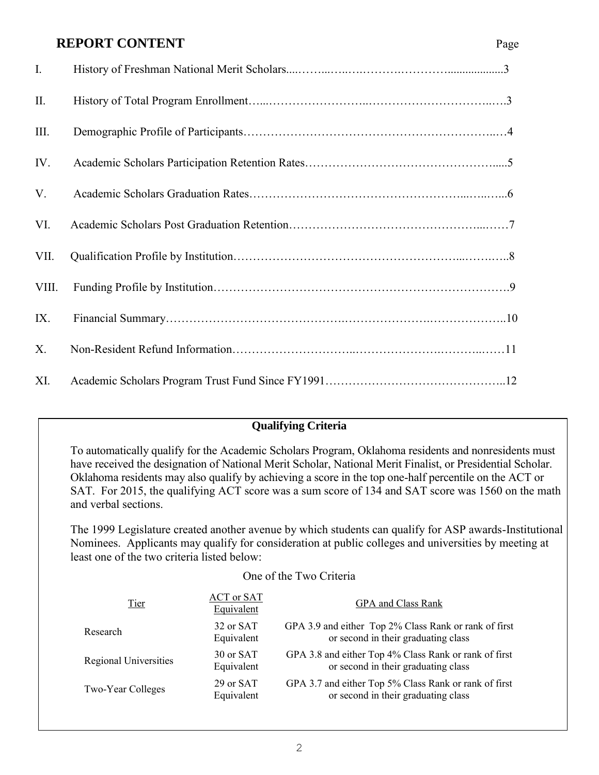# **REPORT CONTENT** Page

| $\mathbf{I}$ . |  |
|----------------|--|
| $\prod$ .      |  |
| III.           |  |
| IV.            |  |
| V.             |  |
| VI.            |  |
| VII.           |  |
| VIII.          |  |
| IX.            |  |
| X.             |  |
| XI.            |  |

# **Qualifying Criteria**

To automatically qualify for the Academic Scholars Program, Oklahoma residents and nonresidents must have received the designation of National Merit Scholar, National Merit Finalist, or Presidential Scholar. Oklahoma residents may also qualify by achieving a score in the top one-half percentile on the ACT or SAT. For 2015, the qualifying ACT score was a sum score of 134 and SAT score was 1560 on the math and verbal sections.

The 1999 Legislature created another avenue by which students can qualify for ASP awards-Institutional Nominees. Applicants may qualify for consideration at public colleges and universities by meeting at least one of the two criteria listed below:

#### One of the Two Criteria

| Tier                         | <b>ACT</b> or SAT<br>Equivalent | <b>GPA</b> and Class Rank                                                                    |
|------------------------------|---------------------------------|----------------------------------------------------------------------------------------------|
| Research                     | 32 or SAT<br>Equivalent         | GPA 3.9 and either Top 2% Class Rank or rank of first<br>or second in their graduating class |
| <b>Regional Universities</b> | 30 or SAT<br>Equivalent         | GPA 3.8 and either Top 4% Class Rank or rank of first<br>or second in their graduating class |
| Two-Year Colleges            | 29 or SAT<br>Equivalent         | GPA 3.7 and either Top 5% Class Rank or rank of first<br>or second in their graduating class |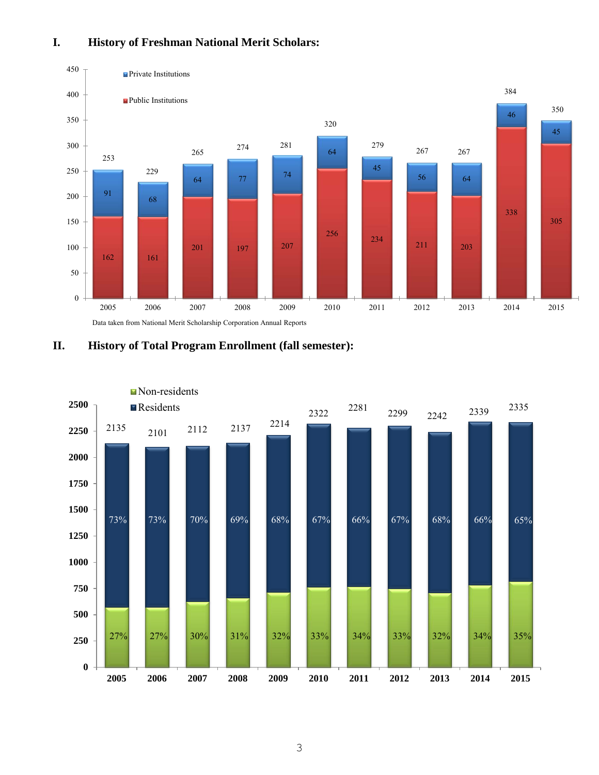## **I. History of Freshman National Merit Scholars:**





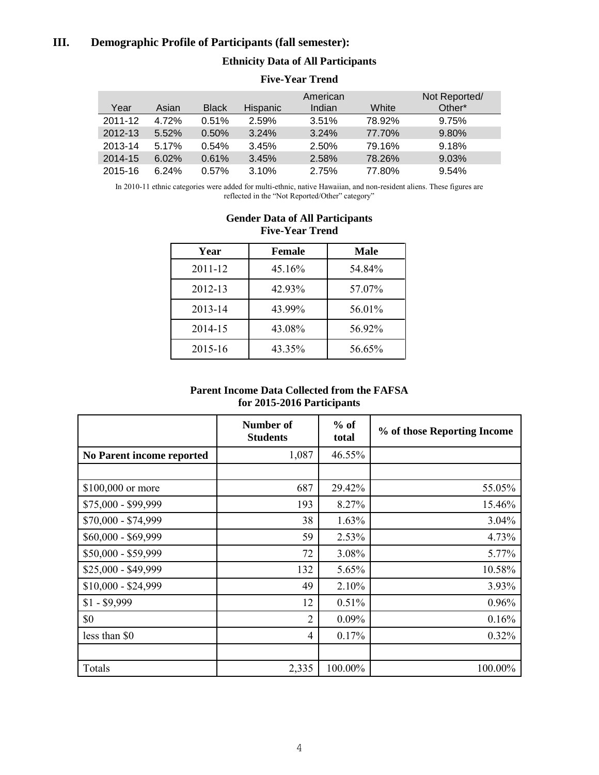#### **III. Demographic Profile of Participants (fall semester):**

#### **Ethnicity Data of All Participants**

|         |       |              |                 | American |        | Not Reported/ |
|---------|-------|--------------|-----------------|----------|--------|---------------|
| Year    | Asian | <b>Black</b> | <b>Hispanic</b> | Indian   | White  | Other*        |
| 2011-12 | 4.72% | 0.51%        | 2.59%           | 3.51%    | 78.92% | 9.75%         |
| 2012-13 | 5.52% | 0.50%        | 3.24%           | 3.24%    | 77.70% | 9.80%         |
| 2013-14 | 5.17% | 0.54%        | 3.45%           | 2.50%    | 79.16% | 9.18%         |
| 2014-15 | 6.02% | 0.61%        | 3.45%           | 2.58%    | 78.26% | 9.03%         |
| 2015-16 | 6.24% | $0.57\%$     | 3.10%           | 2.75%    | 77.80% | 9.54%         |

#### **Five-Year Trend**

In 2010-11 ethnic categories were added for multi-ethnic, native Hawaiian, and non-resident aliens. These figures are reflected in the "Not Reported/Other" category"

| Year    | <b>Female</b> | Male   |
|---------|---------------|--------|
| 2011-12 | 45.16%        | 54.84% |
| 2012-13 | 42.93%        | 57.07% |
| 2013-14 | 43.99%        | 56.01% |
| 2014-15 | 43.08%        | 56.92% |
| 2015-16 | 43.35%        | 56.65% |

#### **Gender Data of All Participants Five-Year Trend**

#### **Parent Income Data Collected from the FAFSA for 2015-2016 Participants**

|                           | Number of<br><b>Students</b> | $%$ of<br>total | % of those Reporting Income |
|---------------------------|------------------------------|-----------------|-----------------------------|
| No Parent income reported | 1,087                        | 46.55%          |                             |
|                           |                              |                 |                             |
| \$100,000 or more         | 687                          | 29.42%          | 55.05%                      |
| \$75,000 - \$99,999       | 193                          | 8.27%           | 15.46%                      |
| \$70,000 - \$74,999       | 38                           | 1.63%           | 3.04%                       |
| $$60,000 - $69,999$       | 59                           | 2.53%           | 4.73%                       |
| \$50,000 - \$59,999       | 72                           | 3.08%           | 5.77%                       |
| \$25,000 - \$49,999       | 132                          | 5.65%           | 10.58%                      |
| $$10,000 - $24,999$       | 49                           | 2.10%           | 3.93%                       |
| $$1 - $9,999$             | 12                           | 0.51%           | 0.96%                       |
| \$0                       | 2                            | $0.09\%$        | 0.16%                       |
| less than \$0             | 4                            | 0.17%           | 0.32%                       |
|                           |                              |                 |                             |
| Totals                    | 2,335                        | 100.00%         | 100.00%                     |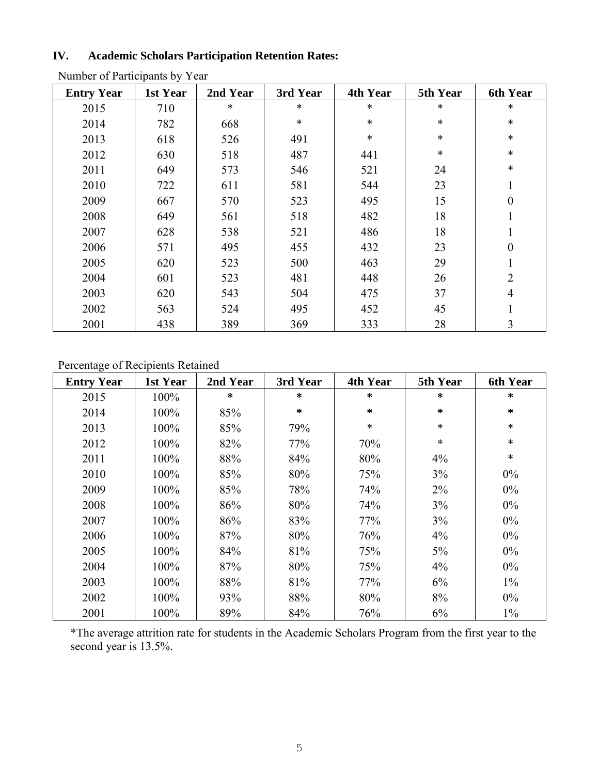# **IV. Academic Scholars Participation Retention Rates:**

| <b>Entry Year</b> | 1st Year | 2nd Year | 3rd Year | 4th Year | 5th Year | <b>6th Year</b>  |
|-------------------|----------|----------|----------|----------|----------|------------------|
| 2015              | 710      | $\ast$   | $\ast$   | $\ast$   | $\ast$   | $\ast$           |
| 2014              | 782      | 668      | *        | $\ast$   | *        | $\ast$           |
| 2013              | 618      | 526      | 491      | $\ast$   | *        | $\ast$           |
| 2012              | 630      | 518      | 487      | 441      | $\ast$   | $\ast$           |
| 2011              | 649      | 573      | 546      | 521      | 24       | $\ast$           |
| 2010              | 722      | 611      | 581      | 544      | 23       |                  |
| 2009              | 667      | 570      | 523      | 495      | 15       | $\boldsymbol{0}$ |
| 2008              | 649      | 561      | 518      | 482      | 18       | 1                |
| 2007              | 628      | 538      | 521      | 486      | 18       |                  |
| 2006              | 571      | 495      | 455      | 432      | 23       | $\boldsymbol{0}$ |
| 2005              | 620      | 523      | 500      | 463      | 29       |                  |
| 2004              | 601      | 523      | 481      | 448      | 26       | 2                |
| 2003              | 620      | 543      | 504      | 475      | 37       | 4                |
| 2002              | 563      | 524      | 495      | 452      | 45       |                  |
| 2001              | 438      | 389      | 369      | 333      | 28       | 3                |

Number of Participants by Year

# Percentage of Recipients Retained

| <b>Entry Year</b> | 1st Year | 2nd Year | 3rd Year | 4th Year | 5th Year | <b>6th Year</b> |
|-------------------|----------|----------|----------|----------|----------|-----------------|
| 2015              | 100%     | $\ast$   | ∗        | $\star$  | ∗        | $\star$         |
| 2014              | 100%     | 85%      | ∗        | $\star$  | ∗        | $\ast$          |
| 2013              | 100%     | 85%      | 79%      | $\ast$   | $\ast$   | $\ast$          |
| 2012              | 100%     | 82%      | 77%      | 70%      | $\ast$   | $\ast$          |
| 2011              | 100%     | 88%      | 84%      | 80%      | $4\%$    | $\ast$          |
| 2010              | 100%     | 85%      | 80%      | 75%      | 3%       | $0\%$           |
| 2009              | 100%     | 85%      | 78%      | 74%      | $2\%$    | $0\%$           |
| 2008              | 100%     | 86%      | 80%      | 74%      | 3%       | $0\%$           |
| 2007              | 100%     | 86%      | 83%      | 77%      | 3%       | $0\%$           |
| 2006              | 100%     | 87%      | 80%      | 76%      | 4%       | $0\%$           |
| 2005              | 100%     | 84%      | 81%      | 75%      | $5\%$    | $0\%$           |
| 2004              | 100%     | 87%      | 80%      | 75%      | 4%       | $0\%$           |
| 2003              | 100%     | 88%      | 81%      | 77%      | 6%       | $1\%$           |
| 2002              | 100%     | 93%      | 88%      | 80%      | 8%       | $0\%$           |
| 2001              | 100%     | 89%      | 84%      | 76%      | 6%       | $1\%$           |

\*The average attrition rate for students in the Academic Scholars Program from the first year to the second year is 13.5%.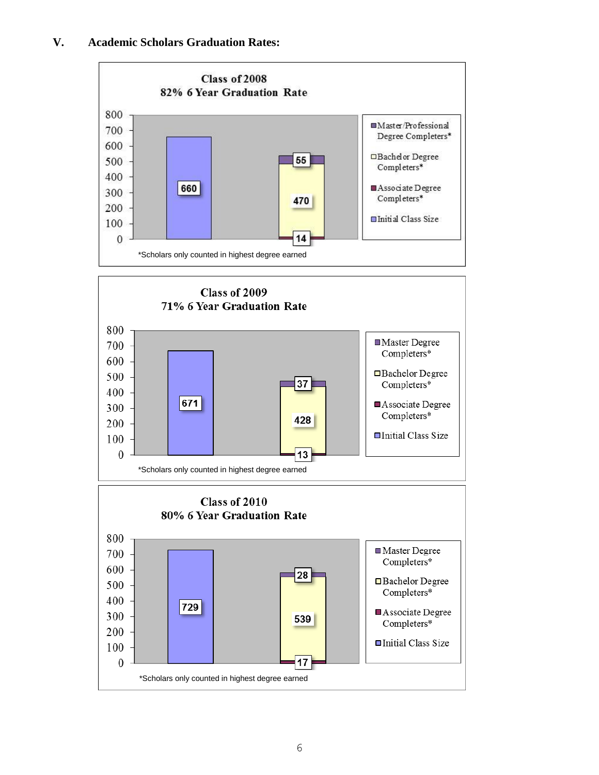#### **V. Academic Scholars Graduation Rates:**

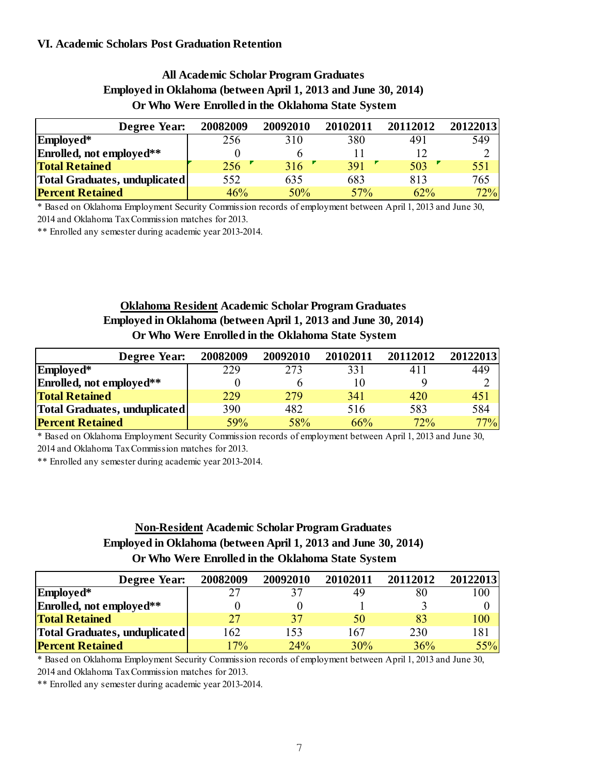#### **VI. Academic Scholars Post Graduation Retention**

# **All Academic Scholar Program Graduates Employed in Oklahoma (between April 1, 2013 and June 30, 2014) Or Who Were Enrolled in the Oklahoma State System**

| Employed in Oklahoma (between April 1, 2013 and June 30, 2014)<br>Or Who Were Enrolled in the Oklahoma State System |          |          |          |          |          |  |  |  |  |
|---------------------------------------------------------------------------------------------------------------------|----------|----------|----------|----------|----------|--|--|--|--|
| <b>Degree Year:</b>                                                                                                 | 20082009 | 20092010 | 20102011 | 20112012 | 20122013 |  |  |  |  |
| Employed*                                                                                                           | 256      | 310      | 380      | 491      | 549      |  |  |  |  |
| Enrolled, not employed**                                                                                            |          | 6        |          | 12       |          |  |  |  |  |
| <b>Total Retained</b>                                                                                               | 256      | 316      | 391      | 503      | 551      |  |  |  |  |
| Total Graduates, unduplicated                                                                                       | 552      | 635      | 683      | 813      | 765      |  |  |  |  |
| <b>Percent Retained</b>                                                                                             | 46%      | 50%      | 57%      | 62%      | 72%      |  |  |  |  |

\* Based on Oklahoma Employment Security Commission records of employment between April 1, 2013 and June 30, 2014 and Oklahoma Tax Commission matches for 2013.

\*\* Enrolled any semester during academic year 2013-2014.

# **Oklahoma Resident Academic Scholar Program Graduates Employed in Oklahoma (between April 1, 2013 and June 30, 2014) Or Who Were Enrolled in the Oklahoma State System**

| Employed in Oklahoma (between April 1, 2013 and June 30, 2014)<br>Or Who Were Enrolled in the Oklahoma State System |          |          |          |          |          |  |  |  |
|---------------------------------------------------------------------------------------------------------------------|----------|----------|----------|----------|----------|--|--|--|
| <b>Degree Year:</b>                                                                                                 | 20082009 | 20092010 | 20102011 | 20112012 | 20122013 |  |  |  |
| Employed*                                                                                                           | 229      | 273      | 331      | 411      | 449      |  |  |  |
| Enrolled, not employed**                                                                                            | $\theta$ | h        | 10       |          |          |  |  |  |
| <b>Total Retained</b>                                                                                               | 229      | 279      | 341      | 420      | 451      |  |  |  |
| Total Graduates, unduplicated                                                                                       | 390      | 482      | 516      | 583      | 584      |  |  |  |
| <b>Percent Retained</b>                                                                                             | 59%      | 58%      | 66%      | 72%      | 77%      |  |  |  |

\* Based on Oklahoma Employment Security Commission records of employment between April 1, 2013 and June 30, 2014 and Oklahoma Tax Commission matches for 2013.

\*\* Enrolled any semester during academic year 2013-2014.

# **Non-Resident Academic Scholar Program Graduates Or Who Were Enrolled in the Oklahoma State System Employed in Oklahoma (between April 1, 2013 and June 30, 2014)**

| Employed in Oklahoma (between April 1, 2013 and June 30, 2014)<br>Or Who Were Enrolled in the Oklahoma State System |          |          |          |          |          |  |  |  |  |
|---------------------------------------------------------------------------------------------------------------------|----------|----------|----------|----------|----------|--|--|--|--|
| Degree Year:                                                                                                        | 20082009 | 20092010 | 20102011 | 20112012 | 20122013 |  |  |  |  |
| Employed*                                                                                                           | 27       |          | 49       | 80       | 100      |  |  |  |  |
| Enrolled, not employed**                                                                                            |          |          |          |          |          |  |  |  |  |
| <b>Total Retained</b>                                                                                               | 27       | 37       | 50       | 83       | 100      |  |  |  |  |
| Total Graduates, unduplicated                                                                                       | 162      | 153      | 167      | 230      | 181      |  |  |  |  |
| <b>Percent Retained</b>                                                                                             | 17%      | 24%      | 30%      | 36%      | 55%      |  |  |  |  |

\* Based on Oklahoma Employment Security Commission records of employment between April 1, 2013 and June 30, 2014 and Oklahoma Tax Commission matches for 2013.

\*\* Enrolled any semester during academic year 2013-2014.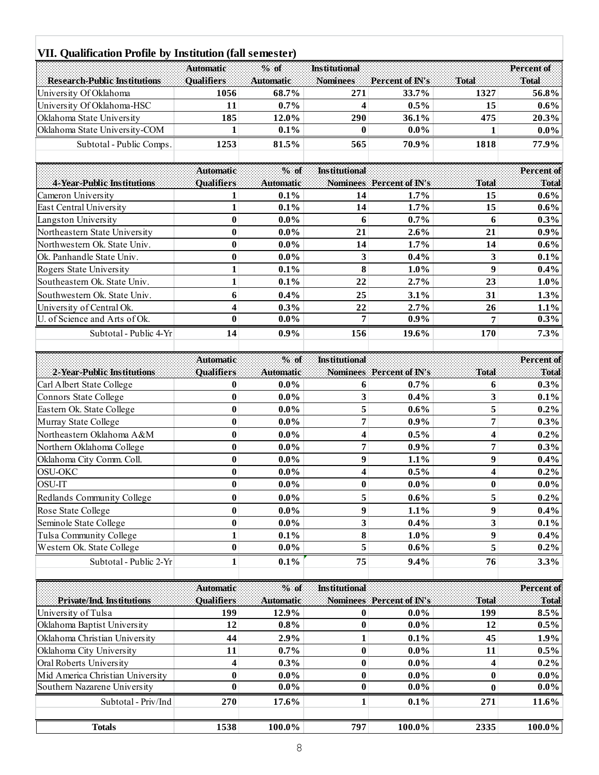#### **Research-Public Institutions Automatic Qualifiers % of Automatic Institutional Mominees Percent of IN's** Total<br>271 33.7% **Percent of Total** University Of Oklahoma **1056 68.7% 271 33.7% 1327 56.8% 11. Qualification Profile by Institution (fall semester)**<br> **10.6 68.7% 10.5% 10.5% 11.05% 11.05% 11.05% 11.05% 11.05% 11.05% 11.05% 11.05% 11.05% 11.05% 11.05% 11.05% 11.05% 11.05% 11.05%** Oklahoma State University **185 12.0% 290 36.1% 475 20.3% Exergen-Public Institutions**<br> **Character University Of Oklahoma**<br> **Oklahoma** HSC 11 0.7% 4 0.5% 15 0.6%<br> **Oklahoma** State University<br> **Oklahoma** State University-COM 1 0.1% 0 0.0% 1 0.0%<br> **Oklahoma** State University-COM 1 Subtotal - Public Comps. **1253 81.5% 565 70.9% 1818 77.9% 4-Year-Public Institutions Automatic Qualifiers**  $\frac{0.1\%}{1.5\%}$ **Automatic Institutional**  <u>1 0.0% 1<br>
565 70.9% 1818</u><br> **Nominees** Percent of IN's Total<br>
14 1.7% 15 **Percent of Total** Subtotal - Public Comps. **1253 81.5% 165 10.9% 1818 17.9%**<br> **1253 161.5% 1818 199% 1818 Percent of**<br> **1 1.1 0.1% 14 1.7% 15 0.6%**<br> **1 1.1 0.1% 14 1.7% 15 0.6%**<br> **1 1.1 1.7% 15** East Central University **1 0.1% 1 4 1.7% 1 5 0.6%** Automatic 3. of Institutional<br>
Cameron University 1 0.1% 14 1.7% 15 0.6%<br>
East Central University 1 0.1% 14 1.7% 15 0.6%<br>
Langston University 0 0.0% 6 0.7% 6 0.3%<br>
Northeastern State University 0 0.0% 21 2.6% 21 0.9% **Example 1.1 Cameron** University **1 0.1% 2014 1.7% 2** 15 **0.6%**<br> **East Central University 1 0.1% 14 1.7% 15 0.6%**<br> **East Central University 1 0.1% 14 1.7% 15 0.6%**<br> **East Central University** Cameron University<br>
East Central University<br>
Langston University<br>
Mortheastern State University<br>
Northwestern Ok. State Univ.<br>
21 **1.7%**<br>
2.6%<br>
Northwestern Ok. State Univ.<br>
2.6%<br>
21 2.6%<br>
21 0.9%<br>
2.6%<br>
21 0.9%<br>
2.6%<br>
21 **East Central University**<br> **1 0.1% 14 1.7% 15 0.6%**<br> **1 0.0% 6 0.7% 6 0.3%**<br> **Northeastern State University 0 0.0% 21 2.6% 21 0.9%**<br> **1 0.1% 21 2.6% 21 0.9%**<br> **1 0.1% 14 1.7% Example 1.1**<br>
Rootheastern State University **1 1.1% 11 1.7% 14 1.7% 14 1.7%**<br>
Northwestern Ok. State Univ. **1 1.9% 14 1.7% 14 1.7% 14 1.9%**<br>
Ok. Panhandle State Univ. **1 1 0.1% 10.4% 1** Northeastern State University **1 1.1% 21 2.6% 21 1.1%**<br>
Northwestern Ok. State Univ. **1 1.1% 14 1.7% 14 1.7% 14 1.6%**<br>
Ok. Panhandle State Univ. **1 0.1% 3 0.4% 3 0.1%**<br>
Southeastern Ok. St Southwestern Ok. State Univ. **6 0.4% 2 5 3.1% 3 1 1.3%** University of Central Ok. **4 0.3% 2 2 2.7% 2 6 1.1%** Rogers State University 1 0.1% 8 1.0% 9 0.4%<br>
Southeastern Ok. State Univ. 1 0.1% 22 2.7% 23 1.0%<br>
Southwestern Ok. State Univ. 6 0.4% 25 3.1% 31 1.3%<br>
University of Central Ok. 4 0.3% 22 2.7% 26 1.1%<br>
U. of Science and Ar 8. State Univ.<br>
1 **0.1%** 22 2.7% 23 1.0%<br>
1.0%<br>
1.0%<br>
2. Central Ok.<br>
4 0.3% 22 2.7% 26 1.1%<br>
2. and Arts of Ok.<br>
1.0% 22 2.7% 26 1.1%<br>
3.0%<br>
7 0.9% 7 0.3%<br>
3.1% 7 0.3% **2-Year-Public Institutions Automatic Qualifiers 0.3%**<br> **0.0%**<br> **0.9%**<br> **8.000**<br> **Automatic Institutional**  156 19% 170<br>156 19.6% 170<br>**Momines** Percent of IN's Total<br>6 0.7% 6 **Percent of Total** Subtotal - Public 4-Yr<br> **Automatic 2.2 Carl Albert State College 19.6%**<br> **Carl Albert State College 19.0%**<br> **Carl Albert State College 19.0%**<br> **Connors State College 19.0%**<br> **Connors State College 19.0%**<br> **Connors State Co** Automatic <sup>3</sup>/<sub>3</sub> of Institutional<br>
2-Year-Public Institutions Qualifiers Automatic Nominees Percent of IN's Total<br>
Connors State College **0** 0.0% 6 0.7% 6 0.3%<br>
Connors State College 0 0.0% 3 0.4% 3 0.1%<br>
Eastern Ok. Stat **Easter-Public Institutions**<br>
Carl Albert State College **0** 0.0% **6** 0.7% **6** 0.3%<br>
Connors State College 0 0.0% 3 0.4% 3 0.1%<br>
Eastern Ok. State College 0 0.0% 5 0.6% 5 0.2%<br>
Murray State College 0 0.0% 7 0.9% 7 0.3% <table>\n<tbody>\n<tr>\n<th>2.10.11</th>\n<th>2.10.21</th>\n<th>2.10.21</th>\n<th>3.20.22</th>\n<th>4.20</th>\n<th>5.20</th>\n<th>7.20</th>\n<th>7.20</th>\n<th>7.20</th>\n<th>7.20</th>\n<th>7.20</th>\n<th>7.20</th>\n<th>7.20</th>\n<th>7.20</th>\n<th>7.20</th>\n<th>7.20</th>\n<th>7.20</th>\n<th>7.20</th>\n<th>7.20</th>\n<th>7.20</th>\ Carl Albert State College **0** 0.0% 6 0.7% 6 0.3%<br>
Connors State College 0 0.0% 3 0.4% 3 0.1%<br>
Eastern Ok. State College 0 0.0% 5 0.6% 5 0.2%<br>
Murray State College 0 0.0% 7 0.9% 7 0.3%<br>
Northeastern Oklahoma A&M 0 0.0% 4 0. Connors State College **0** 0.0% 3 0.4% 3 0.1%<br>
Eastern Ok. State College 0 0.0% 5 0.6% 5 0.2%<br>
Murray State College 0 0.0% 7 0.9% 7 0.3%<br>
Northeastern Oklahoma A&M 0 0.0% 4 0.5% 4 0.2%<br>
Northern Oklahoma College 0 0.0% 7 0 Castern Ok. State College<br>
Murray State College<br>
Mortheastern Oklahoma A&M<br>
Mortheastern Oklahoma A&M<br>
Mortheastern Oklahoma College<br> **0** 0.0%<br> **9** 1.1%<br> **1.1%**<br> **9** 0.4%<br>
OSU-OKC<br> **0** 0.0%<br> **9** 1.1%<br> **9** 0.4%<br> **9** 0.4%<br> Murray State College **0** 0.0% 7 0.9% 7 0.3%<br>
Northeastern Oklahoma A&M 0 0.0% 4 0.5% 4 0.2%<br>
Northern Oklahoma College 0 0.0% 7 0.9% 7 0.3%<br>
Oklahoma City Comm. Coll. 0 0.0% 9 1.1% 9 0.4%<br>
OSU-OKC 0 0.0% 4 0.5% 4 0.2%<br>
OSU Northeastern Oklahoma A&M<br>
Northern Oklahoma College **0** 0.0% 7 0.9% 7 0.3%<br>
Oklahoma City Comm. Coll. **0** 0.0% 9 1.1% 9 0.4%<br>
OSU-OKC 0 0.0% 4 0.5% 4 0.2%<br>
OSU-IT 0 0.0% 0 0.0% 0 0.0% 0 0.0%<br>
Redlands Community College 0 Northern Oklahoma College **0** 0.0% 7 0.9% 7 0.3%<br>
Oklahoma City Comm. Coll. **0** 0.0% 9 1.1% 9 0.4%<br>
OSU-OKC 0 0.0% 4 0.5% 4 0.2%<br>
OSU-IT 0 0.0% 0 0.0% 9 0.0% 0 0.0%<br>
Redlands Community College 0 0.0% 5 0.6% 5 0.2%<br>
Rose St 0.00% **9** 1.1% 9 0.4%<br>
0.2020 0.00 0.00% 1 0.5% 4 0.2%<br>
0.2020 0.00 0.00% 0 0.00% 0 0.0% 0 0.0%<br>
0.00% 5 0.6% 5 0.2%<br>
0.2%<br>
0.00% 5 0.6% 5 0.2%<br>
0.2%<br>
8.000 0.0% 9 1.1% 9 0.4%<br>
8.000 0.00% 9 1.1% 9 0.4% Seminole State College **0 0.0% 3 0.4% 3 0.1%** Tulsa Community College **1 0.1% 8 1.0% 9 0.4% Example Server College 0 0.0% 5 0.6% 5 0.2%**<br> **Example State College 0 0.0% 9 1.1% 9 0.4%**<br> **Example State College 0 0.0% 3 0.4% 3 0.1%**<br> **Example State College 1 0.1% 8 1.0%** 8 College **1 0 0.0% 9 1.1% 9 0.4%**<br>
nity College **1 0.1% 8 1.0% 9 0.4%**<br>
State College **1 0.1% 8 1.0% 9 0.4%**<br>
State College **0 0.0%** 5 **0.6%** 5 **0.2%**<br>
Subtotal - Public 2-Yr **1 0.1%** 7 **Private/Ind. Institutions Automatic Qualifiers**  $\frac{0.1\%}{0.0\%}$ <br> $\frac{0.1\%}{0.1\%}$ **Automatic Institutional**  <u>5 1.0% 5 1.0% 5 1.0% 6 1.0% 6 1.0% 6 1.0% 6 1.0% 6 1.0% 6 1.0% 6 1.0% 6 1.0% 6 1.0% 6 1.0% 6 1.0% 6 1.0% 6 1.0% 6 1.0% 6 1.0% 6 1.0% 6 1.0% 6 1.0% 6 1.0% 6 1.0% 6 1.0% 6 1.0% 6 1.0% 6 1.0% 6 1.0% 6 1.0% 6 1.0% 6 1.0% 6 1.</u> **Percent of Total** University of Tulsa **<sup>199</sup> 12.9% 0 0.0% <sup>199</sup> 8.5% Constitutional Constitutional Percent of Percent of Percent of Percent of Percent of Percent of Percent of Percent University of Tulsa 199 12.9% 0 0 0.0% 199 8.5%<br>
University of Tulsa 199 12.9% 0 0 0.0% 12 0.5%<br>
Oklahoma Automatic Christian Constitutions**<br> **Christian Christian University of Tulsa**<br> **Christian University 12 1.9% 1 1.01% 1.99 1.2.9% 1.01% 1.01%**<br> **Oklahoma Christian University 11 1.9% 1 1.9% 1 1.9% Private/Ind. Institutions**<br>
University of Tulsa 199 12.9% 0 0.0% 199 8.5%<br>
Oklahoma Baptist University 12 0.8% 0 0.0% 12 0.5%<br>
Oklahoma Christian University 44 2.9% 1 0.1% 45 1.9%<br>
Oklahoma City University 11 0.7% 0 0.0% Vniversity of Tulsa 199 12.9% 0 0.0% 199 8.5%<br>
Oklahoma Baptist University 12 0.8% 0 0.0% 12 0.5%<br>
Oklahoma Christian University 11 0.7% 0 0.0% 11 0.5%<br>
Oral Roberts University 1 0.3% 0 0.0% 11 0.5%<br>
Mid America Christian **Oklahoma Baptist University** 12 0.8% 0 0.0% 12 0.5%<br> **Oklahoma Christian University** 44 2.9% 1 0.1% 45 1.9%<br> **Oklahoma City University** 11 0.7% 0 0.0% 11 0.5%<br> **Oral Roberts University** 4 0.3% 0 0.0% 4 0.2%<br> **Mid America Example 1 1.9%**<br> **Example 1.9%**<br> **Example 1.9%**<br> **Example 1.9%**<br> **Example 1.9%**<br> **Example 1.9%**<br> **Example 1.9%**<br> **Example 1.9%**<br> **Example 1.9%**<br> **Example 1.9%**<br> **Example 1.9%**<br> **Example 1.9%**<br> **Example 1.9%**<br> **Example 1** Versity 11 0.7% 0 0.0% 11 0.5%<br>
iversity 4 0.3% 0 0.0% 4 0.2%<br>
iristian University 0 0.0% 0 0.0% 0 0.0%<br>
ne University 0 0.0% 0 0.0% 0 0.0%<br>
Subtotal - Priv/Ind 270 17.6% 1 0.1% 271 11.6% **Totals 1538 100.0% 797 100.0% 2335 100.0% VII. Qualification Profile by Institution (fall semester)**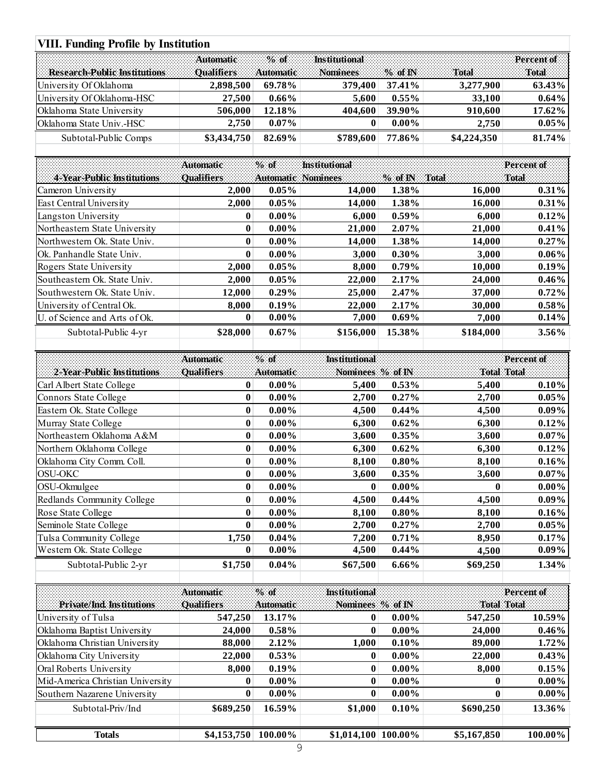# **VIII. Funding Profile by Institution**

|                                     | <b>VIII. Funding Profile by Institution</b> |                           |                                  |                   |                    |                      |  |  |  |  |
|-------------------------------------|---------------------------------------------|---------------------------|----------------------------------|-------------------|--------------------|----------------------|--|--|--|--|
| <b>Research-Public Institutions</b> | <b>Automatic</b><br><b>Qualifiers</b>       | $%$ of<br>Automatic       | <b>Institutional</b><br>Nominees | $%$ of IN         | Total              | Percent of<br>Total  |  |  |  |  |
| University Of Oklahoma              | 2,898,500                                   | 69.78%                    | 379,400                          | 37.41%            | 3,277,900          | 63.43%               |  |  |  |  |
| University Of Oklahoma-HSC          | 27,500                                      | $0.66\%$                  | 5,600                            | 0.55%             | 33,100             | 0.64%                |  |  |  |  |
| Oklahoma State University           | 506,000                                     | 12.18%                    | 404,600                          | 39.90%            | 910,600            | 17.62%               |  |  |  |  |
| Oklahoma State Univ.-HSC            | 2,750                                       | $0.07\%$                  | $\bf{0}$                         | $0.00\%$          | 2,750              | 0.05%                |  |  |  |  |
| Subtotal-Public Comps               | \$3,434,750                                 | 82.69%                    | \$789,600                        | 77.86%            | \$4,224,350        | 81.74%               |  |  |  |  |
|                                     | Automatic                                   | $%$ of                    | <b>Institutional</b>             |                   |                    | Percent of           |  |  |  |  |
| 4-Year-Public Institutions          | Qualifiers                                  | <b>Automatic Nominees</b> |                                  | $%$ of $N$        | <b>Total</b>       | Total                |  |  |  |  |
| Cameron University                  | 2,000                                       | 0.05%                     | 14,000                           | 1.38%             | 16,000             | 0.31%                |  |  |  |  |
| East Central University             | 2,000                                       | 0.05%                     | 14,000                           | 1.38%             | 16,000             | 0.31%                |  |  |  |  |
| Langston University                 | $\bf{0}$                                    | $0.00\%$                  | 6,000                            | $0.59\%$          | 6,000              | 0.12%                |  |  |  |  |
| Northeastern State University       | $\bf{0}$                                    | $0.00\%$                  | 21,000                           | 2.07%             | 21,000             | 0.41%                |  |  |  |  |
| Northwestern Ok. State Univ.        | $\bf{0}$                                    | $0.00\%$                  |                                  | 1.38%             |                    | 0.27%                |  |  |  |  |
| Ok. Panhandle State Univ.           | $\bf{0}$                                    | $0.00\%$                  | 14,000                           |                   | 14,000             |                      |  |  |  |  |
| Rogers State University             | 2,000                                       | 0.05%                     | 3,000<br>8,000                   | $0.30\%$<br>0.79% | 3,000<br>10,000    | $0.06\%$<br>0.19%    |  |  |  |  |
| Southeastern Ok. State Univ.        | 2,000                                       | 0.05%                     | 22,000                           | 2.17%             | 24,000             | 0.46%                |  |  |  |  |
| Southwestern Ok. State Univ.        | 12,000                                      | 0.29%                     | 25,000                           | 2.47%             | 37,000             | 0.72%                |  |  |  |  |
| University of Central Ok.           |                                             | 0.19%                     |                                  | 2.17%             | 30,000             |                      |  |  |  |  |
| U. of Science and Arts of Ok.       | 8,000<br>$\bf{0}$                           | $0.00\%$                  | 22,000<br>7,000                  | 0.69%             | 7,000              | $0.58\%$<br>$0.14\%$ |  |  |  |  |
|                                     |                                             |                           |                                  |                   |                    |                      |  |  |  |  |
| Subtotal-Public 4-yr                | \$28,000                                    | 0.67%                     | \$156,000                        | 15.38%            | \$184,000          | 3.56%                |  |  |  |  |
|                                     | <b>Automatic</b>                            | % of                      | <b>Institutional</b>             |                   |                    | Percent of           |  |  |  |  |
| 2-Year-Public Institutions          | <b>Oualifiers</b>                           | <b>Automatic</b>          | Nominees % of IN                 |                   | <b>Total Total</b> |                      |  |  |  |  |
| Carl Albert State College           | $\bf{0}$                                    | $0.00\%$                  | 5,400                            | 0.53%             | 5,400              | 0.10%                |  |  |  |  |
| Connors State College               | $\bf{0}$                                    | $0.00\%$                  | 2,700                            | 0.27%             | 2,700              | 0.05%                |  |  |  |  |
| Eastern Ok. State College           | $\bf{0}$                                    | $0.00\%$                  | 4,500                            | 0.44%             | 4,500              | $0.09\%$             |  |  |  |  |
| Murray State College                | $\bf{0}$                                    | $0.00\%$                  | 6,300                            | 0.62%             | 6,300              | 0.12%                |  |  |  |  |
| Northeastern Oklahoma A&M           | $\bf{0}$                                    | $0.00\%$                  | 3,600                            | 0.35%             | 3,600              | $0.07\%$             |  |  |  |  |
| Northern Oklahoma College           | $\boldsymbol{0}$                            | $0.00\%$                  | 6,300                            | 0.62%             | 6,300              | $0.12\%$             |  |  |  |  |
| Oklahoma City Comm. Coll.           | $\bf{0}$                                    | $0.00\%$                  | 8,100                            | $0.80\%$          | 8,100              | $0.16\%$             |  |  |  |  |
| <b>OSU-OKC</b>                      | $\bf{0}$                                    | $0.00\%$                  | 3,600                            | 0.35%             | 3,600              | $0.07\%$             |  |  |  |  |
| OSU-Okmulgee                        | $\bf{0}$                                    | $0.00\%$                  | $\bf{0}$                         | $0.00\%$          | $\boldsymbol{0}$   | $0.00\%$             |  |  |  |  |
| Redlands Community College          | $\bf{0}$                                    | $0.00\%$                  | 4,500                            | 0.44%             | 4,500              | $0.09\%$             |  |  |  |  |
| Rose State College                  | 0                                           | $0.00\%$                  | 8,100                            | $0.80\%$          | 8,100              | $0.16\%$             |  |  |  |  |
| Seminole State College              | $\bf{0}$                                    | $0.00\%$                  | 2,700                            | 0.27%             | 2,700              | $0.05\%$             |  |  |  |  |
| Tulsa Community College             | 1,750                                       | 0.04%                     | 7,200                            | 0.71%             | 8,950              | $0.17\%$             |  |  |  |  |
| Western Ok. State College           | $\bf{0}$                                    | $0.00\%$                  | 4,500                            | $0.44\%$          | 4,500              | $0.09\%$             |  |  |  |  |
| Subtotal-Public 2-yr                | \$1,750                                     | $0.04\%$                  | \$67,500                         | $6.66\%$          | \$69,250           | 1.34%                |  |  |  |  |
|                                     |                                             |                           |                                  |                   |                    |                      |  |  |  |  |
|                                     | Automatic                                   | $%$ of                    | <b>Institutional</b>             |                   |                    | Percent of           |  |  |  |  |
| Private/Ind. Institutions           | <b>Qualifiers</b>                           | <b>Automatic</b>          | Nominees % of IN                 |                   | <b>Total Total</b> |                      |  |  |  |  |
| University of Tulsa                 | 547,250                                     | 13.17%                    | 0                                | $0.00\%$          | 547,250            | 10.59%               |  |  |  |  |
| Oklahoma Baptist University         | 24,000                                      | $0.58\%$                  | $\bf{0}$                         | $0.00\%$          | 24,000             | $0.46\%$             |  |  |  |  |
| Oklahoma Christian University       | 88,000                                      | 2.12%                     | 1,000                            | 0.10%             | 89,000             | $1.72\%$             |  |  |  |  |
| Oklahoma City University            | 22,000                                      | 0.53%                     | $\bf{0}$                         | $0.00\%$          | 22,000             | 0.43%                |  |  |  |  |
| Oral Roberts University             | 8,000                                       | 0.19%                     | $\bf{0}$                         | $0.00\%$          | 8,000              | 0.15%                |  |  |  |  |
| Mid-America Christian University    | 0                                           | $0.00\%$                  | $\boldsymbol{0}$                 | $0.00\%$          | $\boldsymbol{0}$   | $0.00\%$             |  |  |  |  |
| Southern Nazarene University        | $\bf{0}$                                    | $0.00\%$                  | $\boldsymbol{0}$                 | $0.00\%$          | $\bf{0}$           | $0.00\%$             |  |  |  |  |
| Subtotal-Priv/Ind                   | \$689,250                                   | 16.59%                    | \$1,000                          | 0.10%             | \$690,250          | 13.36%               |  |  |  |  |
| <b>Totals</b>                       | \$4,153,750 100.00%                         |                           | $$1,014,100 \vert 100.00\%$<br>9 |                   | \$5,167,850        | 100.00%              |  |  |  |  |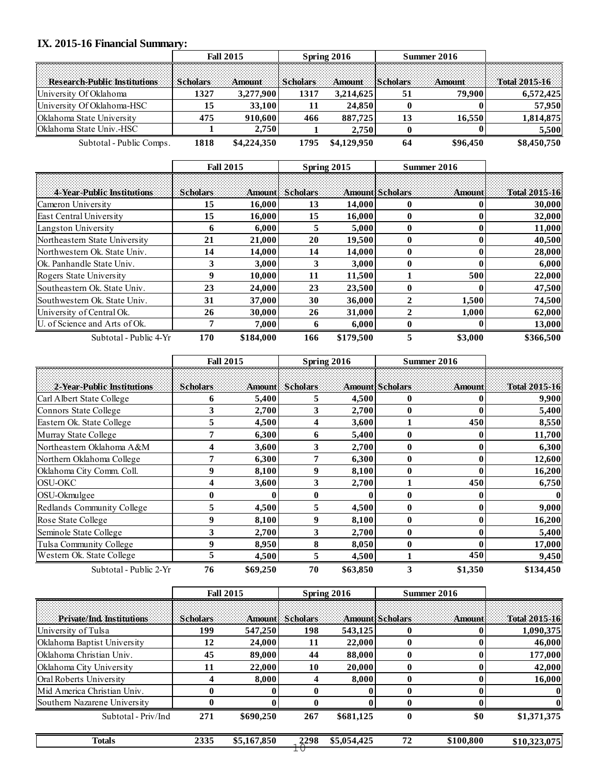# **IX. 2015-16 Financial Summary:**

| IX. 2015-16 Financial Summary:      |                 | <b>Fall 2015</b> | Spring 2016     |             | Summer 2016     |               |               |
|-------------------------------------|-----------------|------------------|-----------------|-------------|-----------------|---------------|---------------|
| <b>Research Public Institutions</b> | <b>Scholars</b> | <b>Amount</b>    | <b>Scholars</b> | Amount      | <b>Scholars</b> | <b>Amount</b> | Total 2015-16 |
| University Of Oklahoma              | 1327            | 3,277,900        | 1317            | 3,214,625   | 51              | 79.900        | 6,572,425     |
| University Of Oklahoma-HSC          | 15              | 33,100           | 11              | 24,850      |                 |               | 57,950        |
| Oklahoma State University           | 475             | 910,600          | 466             | 887,725     | 13              | 16,550        | 1,814,875     |
| Oklahoma State Univ.-HSC            |                 | 2,750            |                 | 2,750       |                 |               | 5,500         |
| Subtotal - Public Comps.            | 1818            | \$4,224,350      | 1795            | \$4,129,950 | 64              | \$96,450      | \$8,450,750   |

| Subtotal - Public Comps.      | 1818             | \$4,224,350 | 1795             | \$4,129,950 | 64              | \$96,450 | \$8,450,750   |
|-------------------------------|------------------|-------------|------------------|-------------|-----------------|----------|---------------|
|                               | <b>Fall 2015</b> |             | Spring 2015      |             | Summer 2016     |          |               |
| 4 Year Public Institutions    | <b>Scholars</b>  |             | Amountl Scholars |             | Amount Scholars | Amount   | Total 2015-16 |
| Cameron University            | 15               | 16,000      | 13               | 14,000      | 0               |          | 30,000        |
| East Central University       | 15               | 16,000      | 15               | 16,000      | 0               |          | 32,000        |
| Langston University           | 6                | 6,000       | 5.               | 5,000       | 0               |          | 11,000        |
| Northeastern State University | 21               | 21,000      | 20               | 19,500      | 0               |          | 40,500        |
| Northwestern Ok. State Univ.  | 14               | 14,000      | 14               | 14,000      | 0               |          | 28,000        |
| lOk. Panhandle State Univ.    | 3                | 3,000       | 3                | 3,000       |                 |          | 6,000         |
| Rogers State University       | 9                | 10,000      | 11               | 11,500      |                 | 500      | 22,000        |
| Southeastern Ok. State Univ.  | 23               | 24,000      | 23               | 23,500      | 0               |          | 47,500        |
| Southwestern Ok. State Univ.  | 31               | 37,000      | 30               | 36,000      | $\mathbf{2}$    | 1,500    | 74,500        |
| University of Central Ok.     | 26               | 30.000      | 26               | 31,000      | 2               | 1,000    | 62,000        |
| U. of Science and Arts of Ok. | 7                | 7,000       | 6                | 6,000       | 0               |          | 13,000        |
| Subtotal - Public 4-Yr        | 170              | \$184,000   | 166              | \$179,500   | 5               | \$3,000  | \$366,500     |

| Subtotal - Public 4-Yr     | 170              | \$184,000 | 166                    | \$179,500 | 5                      | \$3,000          | \$366,500     |  |
|----------------------------|------------------|-----------|------------------------|-----------|------------------------|------------------|---------------|--|
|                            | <b>Fall 2015</b> |           | Spring 2016            |           | Summer 2016            |                  |               |  |
| 2-Year-Public Institutions | <b>Scholars</b>  |           | <b>Amount</b> Scholars |           | <b>Amount Scholars</b> | <b>Amount</b>    | Total 2015-16 |  |
| Carl Albert State College  | 6                | 5,400     | 5.                     | 4,500     | 0                      |                  | 9,900         |  |
| Connors State College      | 3                | 2,700     | 3                      | 2,700     | $\bf{0}$               |                  | 5,400         |  |
| Eastern Ok. State College  | 5                | 4,500     | 4                      | 3,600     |                        | 450              | 8,550         |  |
| Murray State College       | 7                | 6,300     | 6                      | 5,400     | $\bf{0}$               | $\bf{0}$         | 11,700        |  |
| Northeastern Oklahoma A&M  | 4                | 3,600     | 3                      | 2,700     | $\bf{0}$               | 0                | 6,300         |  |
| Northern Oklahoma College  | 7                | 6,300     | 7                      | 6,300     | $\bf{0}$               | $\boldsymbol{0}$ | 12,600        |  |
| Oklahoma City Comm. Coll.  | 9                | 8,100     | 9                      | 8,100     | $\bf{0}$               | $\mathbf{0}$     | 16,200        |  |
| <b>OSU-OKC</b>             | 4                | 3,600     | 3                      | 2,700     |                        | 450              | 6,750         |  |
| OSU-Okmulgee               | $\bf{0}$         |           | $\bf{0}$               |           | $\bf{0}$               | 0                |               |  |
| Redlands Community College | 5                | 4,500     | 5                      | 4,500     | $\bf{0}$               | $\bf{0}$         | 9,000         |  |
| Rose State College         | 9                | 8,100     | 9                      | 8,100     | $\bf{0}$               | $\bf{0}$         | 16,200        |  |
| Seminole State College     | 3                | 2,700     | 3                      | 2,700     | $\bf{0}$               | $\bf{0}$         | 5,400         |  |
| Tulsa Community College    | 9                | 8,950     | 8                      | 8,050     | $\bf{0}$               | $\bf{0}$         | 17,000        |  |
| Western Ok. State College  | 5                | 4,500     | 5                      | 4,500     |                        | 450              | 9,450         |  |
| Subtotal - Public 2-Yr     | 76               | \$69,250  | 70                     | \$63,850  | 3                      | \$1,350          | \$134,450     |  |

| Subtotal - Public 2-Yr       | 76              | \$69,250         | 70              | \$63,850    | 3                      | \$1,350     | \$134,450     |
|------------------------------|-----------------|------------------|-----------------|-------------|------------------------|-------------|---------------|
|                              |                 | <b>Fall 2015</b> |                 | Spring 2016 |                        | Summer 2016 |               |
| Private/Ind. Institutions    | <b>Scholars</b> | <b>Amount</b>    | <b>Scholars</b> |             | <b>Amount Scholars</b> | Amount      | Total 2015-16 |
| University of Tulsa          | 199             | 547,250          | 198             | 543,125     |                        |             | 1,090,375     |
| Oklahoma Baptist University  | 12              | 24,000           | 11              | 22,000      |                        |             | 46,000        |
| Oklahoma Christian Univ.     | 45              | 89,000           | 44              | 88,000      |                        |             | 177,000       |
| Oklahoma City University     | 11              | 22,000           | 10              | 20,000      |                        |             | 42,000        |
| Oral Roberts University      | 4               | 8,000            | 4               | 8,000       |                        |             | 16,000        |
| Mid America Christian Univ.  | 0               |                  | $\mathbf{0}$    |             | 0                      |             | 0             |
| Southern Nazarene University |                 |                  |                 |             |                        |             | 0             |
| Subtotal - Priv/Ind          | 271             | \$690,250        | 267             | \$681,125   | 0                      | \$0         | \$1,371,375   |
| <b>Totals</b>                | 2335            | \$5,167,850      | $10^{2298}$     | \$5,054,425 | 72                     | \$100,800   | \$10,323,075  |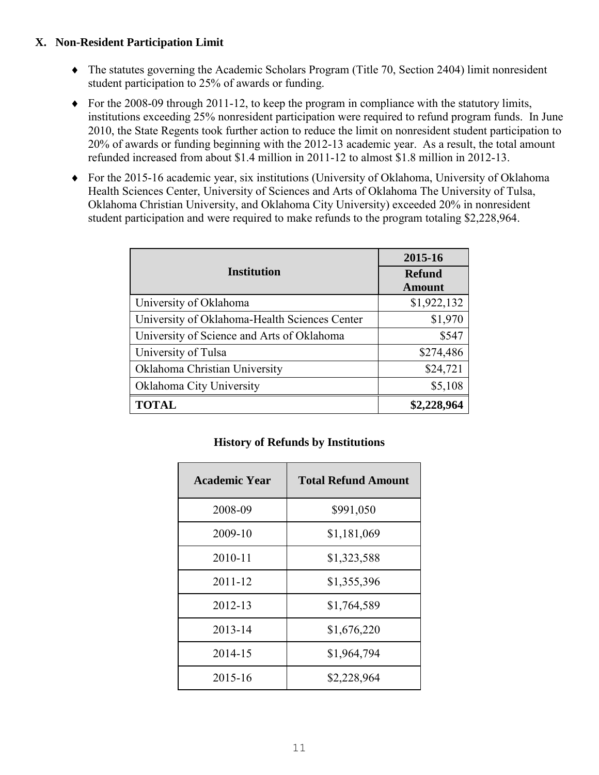## **X. Non-Resident Participation Limit**

- The statutes governing the Academic Scholars Program (Title 70, Section 2404) limit nonresident student participation to 25% of awards or funding.
- $\blacklozenge$  For the 2008-09 through 2011-12, to keep the program in compliance with the statutory limits, institutions exceeding 25% nonresident participation were required to refund program funds. In June 2010, the State Regents took further action to reduce the limit on nonresident student participation to 20% of awards or funding beginning with the 2012-13 academic year. As a result, the total amount refunded increased from about \$1.4 million in 2011-12 to almost \$1.8 million in 2012-13.
- For the 2015-16 academic year, six institutions (University of Oklahoma, University of Oklahoma Health Sciences Center, University of Sciences and Arts of Oklahoma The University of Tulsa, Oklahoma Christian University, and Oklahoma City University) exceeded 20% in nonresident student participation and were required to make refunds to the program totaling \$2,228,964.

|                                               | 2015-16                 |  |
|-----------------------------------------------|-------------------------|--|
| <b>Institution</b>                            | <b>Refund</b><br>Amount |  |
| University of Oklahoma                        | \$1,922,132             |  |
| University of Oklahoma-Health Sciences Center | \$1,970                 |  |
| University of Science and Arts of Oklahoma    | \$547                   |  |
| University of Tulsa                           | \$274,486               |  |
| Oklahoma Christian University                 | \$24,721                |  |
| Oklahoma City University                      | \$5,108                 |  |
| <b>TOTAL</b>                                  | \$2,228,964             |  |

#### **History of Refunds by Institutions**

| <b>Academic Year</b> | <b>Total Refund Amount</b> |
|----------------------|----------------------------|
| 2008-09              | \$991,050                  |
| 2009-10              | \$1,181,069                |
| 2010-11              | \$1,323,588                |
| 2011-12              | \$1,355,396                |
| 2012-13              | \$1,764,589                |
| 2013-14              | \$1,676,220                |
| 2014-15              | \$1,964,794                |
| 2015-16              | \$2,228,964                |